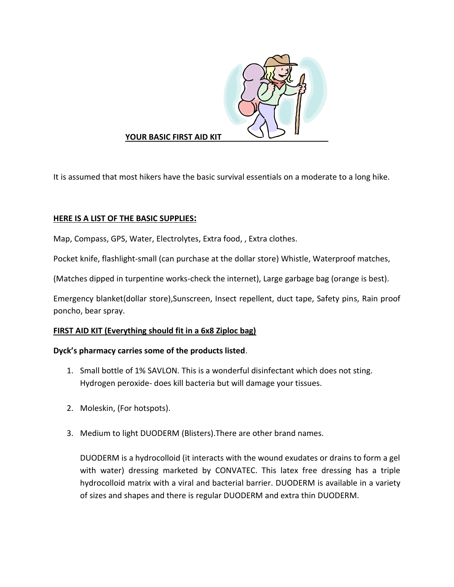

# **YOUR BASIC FIRST AID KIT**

It is assumed that most hikers have the basic survival essentials on a moderate to a long hike.

# **HERE IS A LIST OF THE BASIC SUPPLIES:**

Map, Compass, GPS, Water, Electrolytes, Extra food, , Extra clothes.

Pocket knife, flashlight-small (can purchase at the dollar store) Whistle, Waterproof matches,

(Matches dipped in turpentine works-check the internet), Large garbage bag (orange is best).

Emergency blanket(dollar store),Sunscreen, Insect repellent, duct tape, Safety pins, Rain proof poncho, bear spray.

### **FIRST AID KIT (Everything should fit in a 6x8 Ziploc bag)**

### **Dyck's pharmacy carries some of the products listed**.

- 1. Small bottle of 1% SAVLON. This is a wonderful disinfectant which does not sting. Hydrogen peroxide- does kill bacteria but will damage your tissues.
- 2. Moleskin, (For hotspots).
- 3. Medium to light DUODERM (Blisters).There are other brand names.

DUODERM is a hydrocolloid (it interacts with the wound exudates or drains to form a gel with water) dressing marketed by CONVATEC. This latex free dressing has a triple hydrocolloid matrix with a viral and bacterial barrier. DUODERM is available in a variety of sizes and shapes and there is regular DUODERM and extra thin DUODERM.